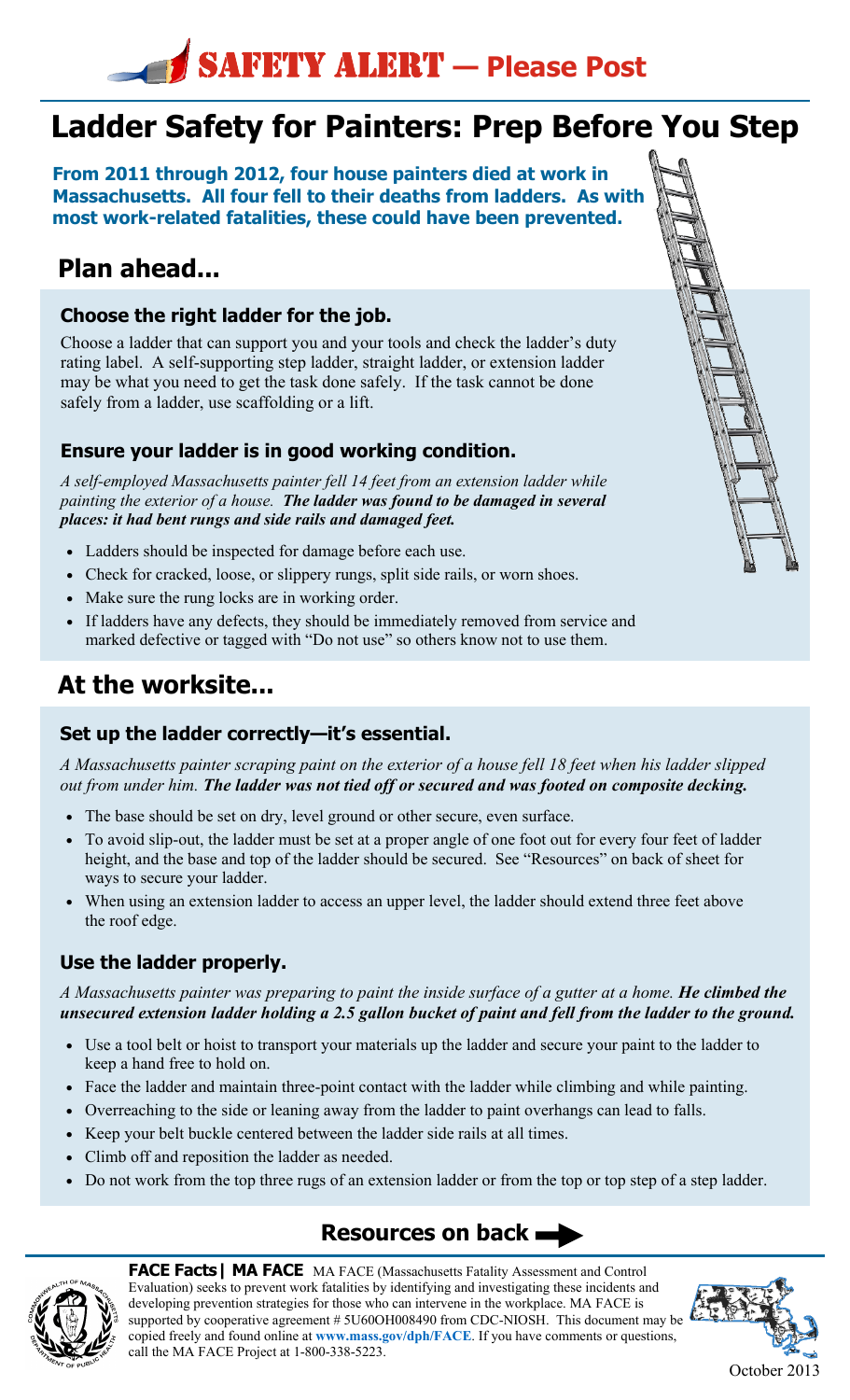# SAFETY ALERT **— Please Post**

## **Ladder Safety for Painters: Prep Before You Step**

**From 2011 through 2012, four house painters died at work in Massachusetts. All four fell to their deaths from ladders. As with most work-related fatalities, these could have been prevented.** 

### **Plan ahead...**

#### **Choose the right ladder for the job.**

Choose a ladder that can support you and your tools and check the ladder's duty rating label. A self-supporting step ladder, straight ladder, or extension ladder may be what you need to get the task done safely. If the task cannot be done safely from a ladder, use scaffolding or a lift.

#### **Ensure your ladder is in good working condition.**

*A self-employed Massachusetts painter fell 14 feet from an extension ladder while painting the exterior of a house. The ladder was found to be damaged in several places: it had bent rungs and side rails and damaged feet.*

- Ladders should be inspected for damage before each use.
- Check for cracked, loose, or slippery rungs, split side rails, or worn shoes.
- Make sure the rung locks are in working order.
- If ladders have any defects, they should be immediately removed from service and marked defective or tagged with "Do not use" so others know not to use them.

### **At the worksite...**

### **Set up the ladder correctly—it's essential.**

*A Massachusetts painter scraping paint on the exterior of a house fell 18 feet when his ladder slipped out from under him. The ladder was not tied off or secured and was footed on composite decking.*

- The base should be set on dry, level ground or other secure, even surface.
- To avoid slip-out, the ladder must be set at a proper angle of one foot out for every four feet of ladder height, and the base and top of the ladder should be secured. See "Resources" on back of sheet for ways to secure your ladder.
- When using an extension ladder to access an upper level, the ladder should extend three feet above the roof edge.

### **Use the ladder properly.**

#### *A Massachusetts painter was preparing to paint the inside surface of a gutter at a home. He climbed the unsecured extension ladder holding a 2.5 gallon bucket of paint and fell from the ladder to the ground.*

- Use a tool belt or hoist to transport your materials up the ladder and secure your paint to the ladder to keep a hand free to hold on.
- Face the ladder and maintain three-point contact with the ladder while climbing and while painting.
- Overreaching to the side or leaning away from the ladder to paint overhangs can lead to falls.
- Keep your belt buckle centered between the ladder side rails at all times.
- Climb off and reposition the ladder as needed.
- Do not work from the top three rugs of an extension ladder or from the top or top step of a step ladder.

### **Resources on back**



**FACE Facts| MA FACE** MA FACE (Massachusetts Fatality Assessment and Control Evaluation) seeks to prevent work fatalities by identifying and investigating these incidents and developing prevention strategies for those who can intervene in the workplace. MA FACE is supported by cooperative agreement # 5U60OH008490 from CDC-NIOSH. This document may be copied freely and found online at **www.mass.gov/dph/FACE**. If you have comments or questions, call the MA FACE Project at 1-800-338-5223.